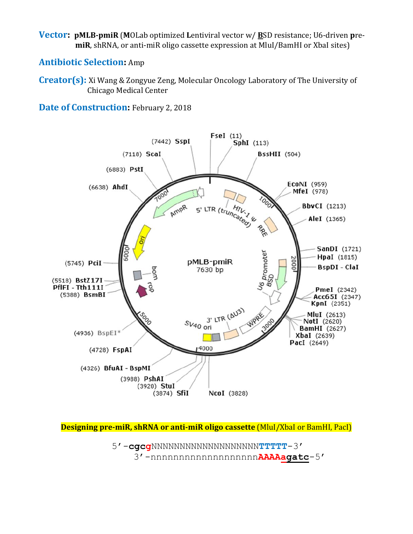**Vector: pMLB-pmiR** (**M**OLab optimized **L**entiviral vector w/ **B**SD resistance; U6-driven **p**re**miR**, shRNA, or anti-miR oligo cassette expression at MluI/BamHI or XbaI sites)

## **Antibiotic Selection:** Amp

**Creator(s):** Xi Wang & Zongyue Zeng, Molecular Oncology Laboratory of The University of Chicago Medical Center

**Date of Construction:** February 2, 2018



**Designing pre-miR, shRNA or anti-miR oligo cassette** (MluI/XbaI or BamHI, PacI)

5'-**cgcg**NNNNNNNNNNNNNNNNNNN**TTTTT**-3' 3'-nnnnnnnnnnnnnnnnnnn**AAAAagatc**-5'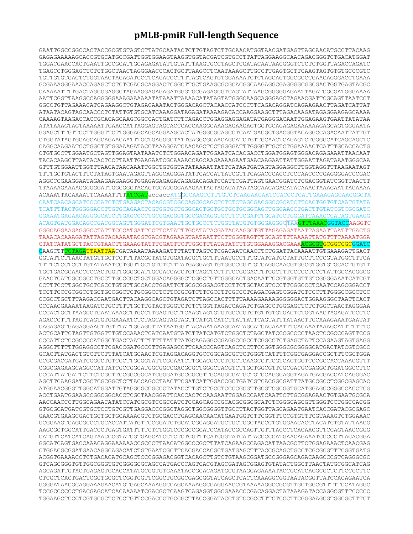## **pMLB-pmiR Full-length Sequence**

GAATTGGCCGGCCACTACCGCGTGTAGTCTTATGCAATACTCTTGTAGTCTTGCAACATGGTAACGATGAGTTAGCAACATGCCTTACAAG GAGAGAAAAAGCACCGTGCATGCCGATTGGTGGAAGTAAGGTGGTACGATCGTGCCTTATTAGGAAGGCAACAGACGGGTCTGACATGGAT TGGACGAACCACTGAATTGCCGCATTGCAGAGATATTGTATTTAAGTGCCTAGCTCGATACAATAACGGGTCTCTCTGGTTAGACCAGATC TGAGCCTGGGAGCTCTCTGGCTAACTAGGGAACCCACTGCTTAAGCCTCAATAAAGCTTGCCTTGAGTGCTTCAAGTAGTGTGTGCCCGTC TGTTGTGTGACTCTGGTAACTAGAGATCCCTCAGACCCTTTTAGTCAGTGTGGAAAATCTCTAGCAGTGGCGCCCGAACAGGGACCTGAAA GCGAAAGGGAAACCAGAGCTCTCTCGACGCAGGACTCGGCTTGCTGAAGCGCGCACGGCAAGAGGCGAGGGGCGGCGACTGGTGAGTACGC CAAAAATTTTGACTAGCGGAGGCTAGAAGGAGAGAGATGGGTGCGAGAGCGTCAGTATTAAGCGGGGGAGAATTAGATCGCGATGGGAAAA AATTCGGTTAAGGCCAGGGGGAAAGAAAAAATATAAATTAAAACATATAGTATGGGCAAGCAGGGAGCTAGAACGATTCGCAGTTAATCCT GGCCTGTTAGAAACATCAGAAGGCTGTAGACAAATACTGGGACAGCTACAACCATCCCTTCAGACAGGATCAGAAGAACTTAGATCATTAT ATAATACAGTAGCAACCCTCTATTGTGTGCATCAAAGGATAGAGATAAAAGACACCAAGGAAGCTTTAGACAAGATAGAGGAAGAGCAAAA CAAAAGTAAGACCACCGCACAGCAAGCGGCCACTGATCTTCAGACCTGGAGGAGGAGATATGAGGGACAATTGGAGAAGTGAATTATATAA ATATAAAGTAGTAAAAATTGAACCATTAGGAGTAGCACCCACCAAGGCAAAGAGAAGAGTGGTGCAGAGAGAAAAAAGAGCAGTGGGAATA GGAGCTTTGTTCCTTGGGTTCTTGGGAGCAGCAGGAAGCACTATGGGCGCAGCCTCAATGACGCTGACGGTACAGGCCAGACAATTATTGT CTGGTATAGTGCAGCAGCAGAACAATTTGCTGAGGGCTATTGAGGCGCAACAGCATCTGTTGCAACTCACAGTCTGGGGCATCAGCAGCTC CAGGCAAGAATCCTGGCTGTGGAAAGATACCTAAAGGATCAACAGCTCCTGGGGATTTGGGGTTGCTCTGGAAAACTCATTTGCACCACTG CTGTGCCTTGGAATGCTAGTTGGAGTAATAAATCTCTGGAACAGATTGGAATCACACGACCTGGATGGAGTGGGACAGAGAAATTAACAAT TACACAAGCTTAATACACTCCTTAATTGAAGAATCGCAAAACCAGCAAGAAAAGAATGAACAAGAATTATTGGAATTAGATAAATGGGCAA GTTTGTGGAATTGGTTTAACATAACAAATTGGCTGTGGTATATAAAATTATTCATAATGATAGTAGGAGGCTTGGTAGGTTTAAGAATAGT TTTTGCTGTACTTTCTATAGTGAATAGAGTTAGGCAGGGATATTCACCATTATCGTTTCAGACCCACCTCCCAACCCCGAGGGGACCCGAC AGGCCCGAAGGAATAGAAGAAGAAGGTGGAGAGAGAGACAGAGACAGATCCATTCGATTAGTGAACGGATCTCGACGGTATCGGTTAACTT TTAAAAGAAAAGGGGGGATTGGGGGGTACAGTGCAGGGGAAAGAATAGTAGACATAATAGCAACAGACATACAAACTAAAGAATTACAAAA ACAAATTACAAAATTCAAAATTTTATCGATaccaccATGGCCAAGCCTTTGTCTCAAGAAGAATCCACCCTCATTGAAAGAGCAACGGCTA CAATCAACAGCATCCCCATCTCTGAAGACTACAGCGTCGCCAGCGCAGCTCTCTCTAGCGACGGCCGCATCTTCACTGGTGTCAATGTATA TCATTTTACTGGGGGACCTTGTGCAGAACTCGTGGTGCTGGGCACTGCTGCTGCTGCGGCAGCTGGCAACCTGACTTGTATCGTCGCGATC GGAAATGAGAACAGGGGCATCTTGAGCCCCTGCGGACGGTGCCGACAGGTGCTTCTCGATCTGCATCCTGGGATCAAAGCCATAGTGAAGG ACAGTGATGGACAGCCGACGGCAGTTGGGATTCGTGAATTGCTGCCCTCTGGTTATGTGTGGGAGGGCTAAGTTTAAACGGTACCAAGGTC GGGCAGGAAGAGGGCCTATTTCCCATGATTCCTTCATATTTGCATATACGATACAAGGCTGTTAGAGAGATAATTAGAATTAATTTGACTG TAAACACAAAGATATTAGTACAAAATACGTGACGTAGAAAGTAATAATTTCTTGGGTAGTTTGCAGTTTTAAAATTATGTTTTAAAATGGA CTATCATATGCTTACCGTAACTTGAAAGTATTTCGATTTCTTGGCTTTATATATCTTGTGGAAAGGACGAAAACGCGTGCGGCCGCGGATC CAAGCTTTCTAGATTAATTAACGATAAAATAAAAGATTTTATTTAGTCTCGACAATCAACCTCTGGATTACAAAATTGTGAAAGATTGACT GGTATTCTTAACTATGTTGCTCCTTTTACGCTATGTGGATACGCTGCTTTAATGCCTTTGTATCATGCTATTGCTTCCCGTATGGCTTTCA TTTTCTCCTCCTTGTATAAATCCTGGTTGCTGTCTCTTTATGAGGAGTTGTGGCCCGTTGTCAGGCAACGTGGCGTGGTGTGCACTGTGTT TGCTGACGCAACCCCCACTGGTTGGGGCATTGCCACCACCTGTCAGCTCCTTTCCGGGACTTTCGCTTTCCCCCTCCCTATTGCCACGGCG GAACTCATCGCCGCCTGCCTTGCCCGCTGCTGGACAGGGGCTCGGCTGTTGGGCACTGACAATTCCGTGGTGTTGTCGGGGAAATCATCGT CCTTTCCTTGGCTGCTCGCCTGTGTTGCCACCTGGATTCTGCGCGGGACGTCCTTCTGCTACGTCCCTTCGGCCCTCAATCCAGCGGACCT TCCTTCCCGCGGCCTGCTGCCGGCTCTGCGGCCTCTTCCGCGTCTTCGCCTTCGCCCTCAGACGAGTCGGATCTCCCTTTGGGCCGCCTCC CCGCCTGCTTTAAGACCAATGACTTACAAGGCAGCTGTAGATCTTAGCCACTTTTTAAAAGAAAAGGGGGGACTGGAAGGGCTAATTCACT CCCAACGAAAATAAGATCTGCTTTTTGCTTGTACTGGGTCTCTCTGGTTAGACCAGATCTGAGCCTGGGAGCTCTCTGGCTAACTAGGGAA CCCACTGCTTAAGCCTCAATAAAGCTTGCCTTGAGTGCTTCAAGTAGTGTGTGCCCGTCTGTTGTGTGACTCTGGTAACTAGAGATCCCTC AGACCCTTTTAGTCAGTGTGGAAAATCTCTAGCAGTAGTAGTTCATGTCATCTTATTATTCAGTATTTATAACTTGCAAAGAAATGAATAT CAGAGAGTGAGAGGAACTTGTTTATTGCAGCTTATAATGGTTACAAATAAAGCAATAGCATCACAAATTTCACAAATAAAGCATTTTTTTC ACTGCATTCTAGTTGTGGTTTGTCCAAACTCATCAATGTATCTTATCATGTCTGGCTCTAGCTATCCCGCCCCTAACTCCGCCCAGTTCCG CCCATTCTCCGCCCCATGGCTGACTAATTTTTTTTATTTATGCAGAGGCCGAGGCCGCCTCGGCCTCTGAGCTATTCCAGAAGTAGTGAGG AGGCTTTTTTGGAGGCCTTCGACCGATGCCCTTGAGAGCCTTCAACCCAGTCAGCTCCTTCCGGTGGGCGCGGGGCATGACTATCGTCGCC GCACTTATGACTGTCTTCTTTATCATGCAACTCGTAGGACAGGTGCCGGCAGCGCTCTGGGTCATTTTCGGCGAGGACCGCTTTCGCTGGA GCGCGACGATGATCGGCCTGTCGCTTGCGGTATTCGGAATCTTGCACGCCCTCGCTCAAGCCTTCGTCACTGGTCCCGCCACCAAACGTTT CGGCGAGAAGCAGGCCATTATCGCCGGCATGGCGGCCGACGCGCTGGGCTACGTCTTGCTGGCGTTCGCGACGCGAGGCTGGATGGCCTTC CCCATTATGATTCTTCTCGCTTCCGGCGGCATCGGGATGCCCGCGTTGCAGGCCATGCTGTCCAGGCAGGTAGATGACGACCATCAGGGAC AGCTTCAAGGATCGCTCGCGGCTCTTACCAGCCTAACTTCGATCATTGGACCGCTGATCGTCACGGCGATTTATGCCGCCTCGGCGAGCAC ATGGAACGGGTTGGCATGGATTGTAGGCGCCGCCCTATACCTTGTCTGCCTCCCCGCGTTGCGTCGCGGTGCATGGAGCCGGGCCACCTCG ACCTGAATGGAAGCCGGCGGCACCTCGCTAACGGATTCACCACTCCAAGAATTGGAGCCAATCAATTCTTGCGGAGAACTGTGAATGCGCA AACCAACCCTTGGCAGAACATATCCATCGCGTCCGCCATCTCCAGCAGCCGCACGCGGCGCATCTCGGGCAGCGTTGGGTCCTGGCCACGG GTGCGCATGATCGTGCTCCTGTCGTTGAGGACCCGGCTAGGCTGGCGGGGTTGCCTTACTGGTTAGCAGAATGAATCACCGATACGCGAGC GAACGTGAAGCGACTGCTGCTGCAAAACGTCTGCGACCTGAGCAACAACATGAATGGTCTTCGGTTTCCGTGTTTCGTAAAGTCTGGAAAC GCGGAAGTCAGCGCCCTGCACCATTATGTTCCGGATCTGCATCGCAGGATGCTGCTGGCTACCCTGTGGAACACCTACATCTGTATTAACG AAGCGCTGGCATTGACCCTGAGTGATTTTTCTCTGGTCCCGCCGCATCCATACCGCCAGTTGTTTACCCTCACAACGTTCCAGTAACCGGG CATGTTCATCATCAGTAACCCGTATCGTGAGCATCCTCTCTCGTTTCATCGGTATCATTACCCCCATGAACAGAAATCCCCCTTACACGGA GGCATCAGTGACCAAACAGGAAAAAACCGCCCTTAACATGGCCCGCTTTATCAGAAGCCAGACATTAACGCTTCTGGAGAAACTCAACGAG CTGGACGCGGATGAACAGGCAGACATCTGTGAATCGCTTCACGACCACGCTGATGAGCTTTACCGCAGCTGCCTCGCGCGTTTCGGTGATG ACGGTGAAAACCTCTGACACATGCAGCTCCCGGAGACGGTCACAGCTTGTCTGTAAGCGGATGCCGGGAGCAGACAAGCCCGTCAGGGCGC GTCAGCGGGTGTTGGCGGGTGTCGGGGCGCAGCCATGACCCAGTCACGTAGCGATAGCGGAGTGTATACTGGCTTAACTATGCGGCATCAG AGCAGATTGTACTGAGAGTGCACCATATGCGGTGTGAAATACCGCACAGATGCGTAAGGAGAAAATACCGCATCAGGCGCTCTTCCGCTTC CTCGCTCACTGACTCGCTGCGCTCGGTCGTTCGGCTGCGGCGAGCGGTATCAGCTCACTCAAAGGCGGTAATACGGTTATCCACAGAATCA GGGGATAACGCAGGAAAGAACATGTGAGCAAAAGGCCAGCAAAAGGCCAGGAACCGTAAAAAGGCCGCGTTGCTGGCGTTTTTCCATAGGC TCCGCCCCCCTGACGAGCATCACAAAAATCGACGCTCAAGTCAGAGGTGGCGAAACCCGACAGGACTATAAAGATACCAGGCGTTTCCCCC TGGAAGCTCCCTCGTGCGCTCTCCTGTTCCGACCCTGCCGCTTACCGGATACCTGTCCGCCTTTCTCCCTTCGGGAAGCGTGGCGCTTTCT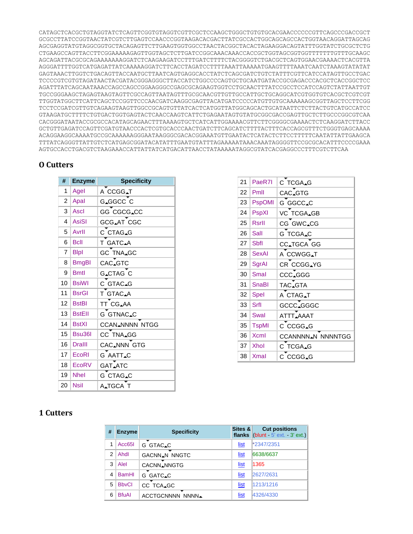CATAGCTCACGCTGTAGGTATCTCAGTTCGGTGTAGGTCGTTCGCTCCAAGCTGGGCTGTGTGCACGAACCCCCCGTTCAGCCCGACCGCT GCGCCTTATCCGGTAACTATCGTCTTGAGTCCAACCCGGTAAGACACGACTTATCGCCACTGGCAGCAGCCACTGGTAACAGGATTAGCAG AGCGAGGTATGTAGGCGGTGCTACAGAGTTCTTGAAGTGGTGGCCTAACTACGGCTACACTAGAAGGACAGTATTTGGTATCTGCGCTCTG CTGAAGCCAGTTACCTTCGGAAAAAGAGTTGGTAGCTCTTGATCCGGCAAACAAACCACCGCTGGTAGCGGTGGTTTTTTTGTTTGCAAGC AGCAGATTACGCGCAGAAAAAAAGGATCTCAAGAAGATCCTTTGATCTTTTCTACGGGGTCTGACGCTCAGTGGAACGAAAACTCACGTTA AGGGATTTTGGTCATGAGATTATCAAAAAGGATCTTCACCTAGATCCTTTTAAATTAAAAATGAAGTTTTAAATCAATCTAAAGTATATAT GAGTAAACTTGGTCTGACAGTTACCAATGCTTAATCAGTGAGGCACCTATCTCAGCGATCTGTCTATTTCGTTCATCCATAGTTGCCTGAC TCCCCGTCGTGTAGATAACTACGATACGGGAGGGCTTACCATCTGGCCCCAGTGCTGCAATGATACCGCGAGACCCACGCTCACCGGCTCC AGATTTATCAGCAATAAACCAGCCAGCCGGAAGGGCCGAGCGCAGAAGTGGTCCTGCAACTTTATCCGCCTCCATCCAGTCTATTAATTGT TGCCGGGAAGCTAGAGTAAGTAGTTCGCCAGTTAATAGTTTGCGCAACGTTGTTGCCATTGCTGCAGGCATCGTGGTGTCACGCTCGTCGT TTGGTATGGCTTCATTCAGCTCCGGTTCCCAACGATCAAGGCGAGTTACATGATCCCCCATGTTGTGCAAAAAAGCGGTTAGCTCCTTCGG TCCTCCGATCGTTGTCAGAAGTAAGTTGGCCGCAGTGTTATCACTCATGGTTATGGCAGCACTGCATAATTCTCTTACTGTCATGCCATCC GTAAGATGCTTTTCTGTGACTGGTGAGTACTCAACCAAGTCATTCTGAGAATAGTGTATGCGGCGACCGAGTTGCTCTTGCCCGGCGTCAA CACGGGATAATACCGCGCCACATAGCAGAACTTTAAAAGTGCTCATCATTGGAAAACGTTCTTCGGGGCGAAAACTCTCAAGGATCTTACC GCTGTTGAGATCCAGTTCGATGTAACCCACTCGTGCACCCAACTGATCTTCAGCATCTTTTACTTTCACCAGCGTTTCTGGGTGAGCAAAA ACAGGAAGGCAAAATGCCGCAAAAAAGGGAATAAGGGCGACACGGAAATGTTGAATACTCATACTCTTCCTTTTTCAATATTATTGAAGCA TTTATCAGGGTTATTGTCTCATGAGCGGATACATATTTGAATGTATTTAGAAAAATAAACAAATAGGGGTTCCGCGCACATTTCCCCGAAA AGTGCCACCTGACGTCTAAGAAACCATTATTATCATGACATTAACCTATAAAAATAGGCGTATCACGAGGCCCTTTCGTCTTCAA

## **O Cutters**

| #              | <b>Enzyme</b> | <b>Specificity</b>    |  |  |
|----------------|---------------|-----------------------|--|--|
| 1              | Agel          | A CCGG_T              |  |  |
| $\overline{2}$ | Apal          | G_GGCC C              |  |  |
| 3              | Ascl          | GG CGCG.CC            |  |  |
| 4              | <b>AsiSI</b>  | GCG_AT CGC            |  |  |
| 5              | Avrll         | C CTAG_G              |  |  |
| 6              | <b>Bcll</b>   | T GATC_A              |  |  |
| 7              | <b>Blpl</b>   | GC TNA_GC             |  |  |
| 8              | <b>BmgBI</b>  | CAC_GTC               |  |  |
| 9              | <b>Bmtl</b>   | G_CTAG C              |  |  |
| 10             | <b>BsiWI</b>  | C GTAC.G              |  |  |
| 11             | <b>BsrGI</b>  | T GTAC.A              |  |  |
| 12             | <b>BstBI</b>  | TT CG_AA              |  |  |
| 13             | <b>BstEll</b> | G GTNAC.C             |  |  |
| 14             | <b>BstXI</b>  | <b>CCAN_NNNN NTGG</b> |  |  |
| 15             | Bsu36l        | CC TNA_GG             |  |  |
| 16             | Dralll        | CAC_NNN GTG           |  |  |
| 17             | EcoRI         | G AATT.C              |  |  |
| 18             | EcoRV         | <b>GAT_ATC</b>        |  |  |
| 19             | <b>Nhel</b>   | G CTAG.C              |  |  |
| 20             | Nsil          | A.TGCA T              |  |  |

| 21 | PaeR7I       | C TCGA_G                      |
|----|--------------|-------------------------------|
| 22 | Pmll         | CAC_GTG                       |
| 23 | PspOMI       | G GGCC.C                      |
| 24 | PspXI        | VC TCGA_GB                    |
| 25 | <b>Rsrll</b> | CG GWC_CG                     |
| 26 | Sall         | G TCGA_C                      |
| 27 | Sbfl         | <b>CC</b> _TGCA GG            |
| 28 | <b>SexAl</b> | A CCWGG.T                     |
| 29 | <b>SgrAl</b> | CR CCGG.YG                    |
| 30 | <b>Smal</b>  | CCC.GGG                       |
| 31 | <b>SnaBl</b> | TAC <sub>4</sub> GTA          |
| 32 | <b>Spel</b>  | A CTAG <sub>IT</sub>          |
| 33 | Srfl         | GCCC.GGGC                     |
| 34 | Swal         | ATTT.AAAT                     |
| 35 | <b>TspMI</b> | C CCGG.G                      |
| 36 | <b>Xcml</b>  | CCANNNN <sub>AN</sub> NNNNTGG |
| 37 | <b>Xhol</b>  | C TCGA_G                      |
| 38 | Xmal         | C CCGG.G                      |

## **1 Cutters**

| # | <b>Enzyme</b> | <b>Specificity</b>           | Sites & | <b>Cut positions</b><br>flanks $ $ (blunt 5' ext. 3' ext.) |
|---|---------------|------------------------------|---------|------------------------------------------------------------|
|   | Acc65I        | G GTAC.C                     | list    | *2347/2351                                                 |
| 2 | Ahdl          | GACNNAN NNGTC                | list    | 6638/6637                                                  |
| 3 | Alel          | CACNN.NNGTG                  | list    | 1365                                                       |
| 4 | <b>BamHI</b>  | G GATC.C                     | list    | 2627/2631                                                  |
| 5 | <b>BbvCl</b>  | CC TCA_GC                    | list    | 1213/1216                                                  |
| 6 | <b>BfuAI</b>  | ACCTGCNNNN NNNN <sub>4</sub> | list    | 4326/4330                                                  |